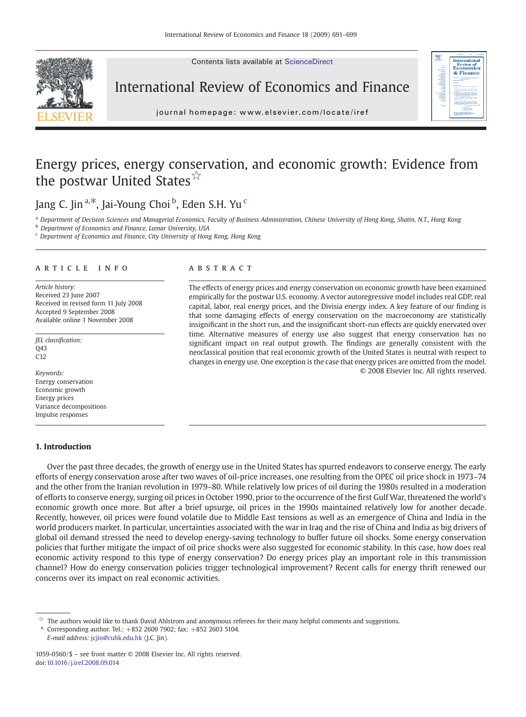Contents lists available at ScienceDirect



International Review of Economics and Finance



j o u r n a l h om e p a g e  $\alpha$  ev i e r. c om  $\alpha$  t e  $\alpha$  t e  $\alpha$  i r e  $\alpha$  t e  $\alpha$ 

## Energy prices, energy conservation, and economic growth: Evidence from the postwar United States☆

Jang C. Jin <sup>a, $\ast$ </sup>, Jai-Young Choi <sup>b</sup>, Eden S.H. Yu <sup>c</sup>

<sup>a</sup> Department of Decision Sciences and Managerial Economics, Faculty of Business Administration, Chinese University of Hong Kong, Shatin, N.T., Hong Kong

b Department of Economics and Finance, Lamar University, USA

<sup>c</sup> Department of Economics and Finance, City University of Hong Kong, Hong Kong

### article info abstract

Article history: Received 23 June 2007 Received in revised form 11 July 2008 Accepted 9 September 2008 Available online 1 November 2008

JEL classification:  $043$ C32

Keywords: Energy conservation Economic growth Energy prices Variance decompositions Impulse responses

### 1. Introduction

The effects of energy prices and energy conservation on economic growth have been examined empirically for the postwar U.S. economy. A vector autoregressive model includes real GDP, real capital, labor, real energy prices, and the Divisia energy index. A key feature of our finding is that some damaging effects of energy conservation on the macroeconomy are statistically insignificant in the short run, and the insignificant short-run effects are quickly enervated over time. Alternative measures of energy use also suggest that energy conservation has no significant impact on real output growth. The findings are generally consistent with the neoclassical position that real economic growth of the United States is neutral with respect to changes in energy use. One exception is the case that energy prices are omitted from the model. © 2008 Elsevier Inc. All rights reserved.

Over the past three decades, the growth of energy use in the United States has spurred endeavors to conserve energy. The early efforts of energy conservation arose after two waves of oil-price increases, one resulting from the OPEC oil price shock in 1973–74 and the other from the Iranian revolution in 1979–80. While relatively low prices of oil during the 1980s resulted in a moderation of efforts to conserve energy, surging oil prices in October 1990, prior to the occurrence of the first Gulf War, threatened the world's economic growth once more. But after a brief upsurge, oil prices in the 1990s maintained relatively low for another decade. Recently, however, oil prices were found volatile due to Middle East tensions as well as an emergence of China and India in the world producers market. In particular, uncertainties associated with the war in Iraq and the rise of China and India as big drivers of global oil demand stressed the need to develop energy-saving technology to buffer future oil shocks. Some energy conservation policies that further mitigate the impact of oil price shocks were also suggested for economic stability. In this case, how does real economic activity respond to this type of energy conservation? Do energy prices play an important role in this transmission channel? How do energy conservation policies trigger technological improvement? Recent calls for energy thrift renewed our concerns over its impact on real economic activities.

 $\vec{r}$  The authors would like to thank David Ahlstrom and anonymous referees for their many helpful comments and suggestions.

⁎ Corresponding author. Tel.: +852 2609 7902; fax: +852 2603 5104. E-mail address: [jcjin@cuhk.edu.hk](mailto:jcjin@cuhk.edu.hk) (J.C. Jin).

1059-0560/\$ – see front matter © 2008 Elsevier Inc. All rights reserved. doi[:10.1016/j.iref.2008.09.014](http://dx.doi.org/10.1016/j.iref.2008.09.014)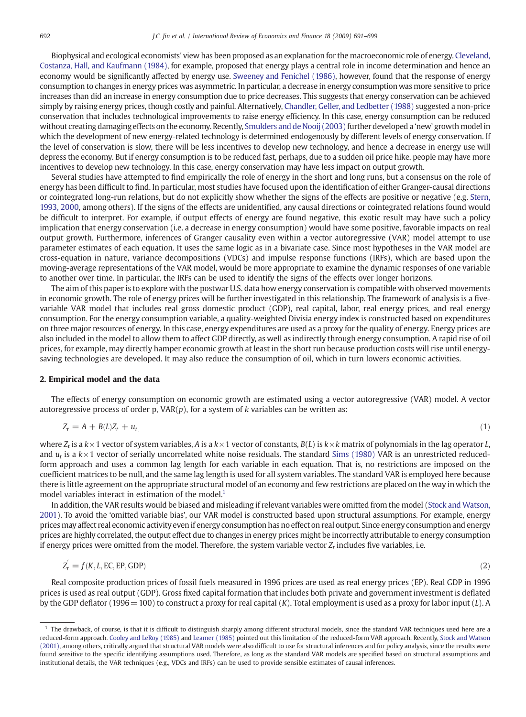Biophysical and ecological economists' view has been proposed as an explanation for the macroeconomic role of energy. [Cleveland,](#page--1-0) [Costanza, Hall, and Kaufmann \(1984\)](#page--1-0), for example, proposed that energy plays a central role in income determination and hence an economy would be significantly affected by energy use. [Sweeney and Fenichel \(1986\),](#page--1-0) however, found that the response of energy consumption to changes in energy prices was asymmetric. In particular, a decrease in energy consumption was more sensitive to price increases than did an increase in energy consumption due to price decreases. This suggests that energy conservation can be achieved simply by raising energy prices, though costly and painful. Alternatively, [Chandler, Geller, and Ledbetter \(1988\)](#page--1-0) suggested a non-price conservation that includes technological improvements to raise energy efficiency. In this case, energy consumption can be reduced without creating damaging effects on the economy. Recently, [Smulders and de Nooij \(2003\)](#page--1-0) further developed a 'new' growth model in which the development of new energy-related technology is determined endogenously by different levels of energy conservation. If the level of conservation is slow, there will be less incentives to develop new technology, and hence a decrease in energy use will depress the economy. But if energy consumption is to be reduced fast, perhaps, due to a sudden oil price hike, people may have more incentives to develop new technology. In this case, energy conservation may have less impact on output growth.

Several studies have attempted to find empirically the role of energy in the short and long runs, but a consensus on the role of energy has been difficult to find. In particular, most studies have focused upon the identification of either Granger-causal directions or cointegrated long-run relations, but do not explicitly show whether the signs of the effects are positive or negative (e.g. [Stern,](#page--1-0) [1993, 2000](#page--1-0), among others). If the signs of the effects are unidentified, any causal directions or cointegrated relations found would be difficult to interpret. For example, if output effects of energy are found negative, this exotic result may have such a policy implication that energy conservation (i.e. a decrease in energy consumption) would have some positive, favorable impacts on real output growth. Furthermore, inferences of Granger causality even within a vector autoregressive (VAR) model attempt to use parameter estimates of each equation. It uses the same logic as in a bivariate case. Since most hypotheses in the VAR model are cross-equation in nature, variance decompositions (VDCs) and impulse response functions (IRFs), which are based upon the moving-average representations of the VAR model, would be more appropriate to examine the dynamic responses of one variable to another over time. In particular, the IRFs can be used to identify the signs of the effects over longer horizons.

The aim of this paper is to explore with the postwar U.S. data how energy conservation is compatible with observed movements in economic growth. The role of energy prices will be further investigated in this relationship. The framework of analysis is a fivevariable VAR model that includes real gross domestic product (GDP), real capital, labor, real energy prices, and real energy consumption. For the energy consumption variable, a quality-weighted Divisia energy index is constructed based on expenditures on three major resources of energy. In this case, energy expenditures are used as a proxy for the quality of energy. Energy prices are also included in the model to allow them to affect GDP directly, as well as indirectly through energy consumption. A rapid rise of oil prices, for example, may directly hamper economic growth at least in the short run because production costs will rise until energysaving technologies are developed. It may also reduce the consumption of oil, which in turn lowers economic activities.

### 2. Empirical model and the data

The effects of energy consumption on economic growth are estimated using a vector autoregressive (VAR) model. A vector autoregressive process of order p,  $VAR(p)$ , for a system of k variables can be written as:

$$
Z_t = A + B(L)Z_t + u_{t,}
$$
\n<sup>(1)</sup>

where  $Z_t$  is a  $k \times 1$  vector of system variables, A is a  $k \times 1$  vector of constants,  $B(L)$  is  $k \times k$  matrix of polynomials in the lag operator L, and  $u_t$  is a  $k \times 1$  vector of serially uncorrelated white noise residuals. The standard [Sims \(1980\)](#page--1-0) VAR is an unrestricted reducedform approach and uses a common lag length for each variable in each equation. That is, no restrictions are imposed on the coefficient matrices to be null, and the same lag length is used for all system variables. The standard VAR is employed here because there is little agreement on the appropriate structural model of an economy and few restrictions are placed on the way in which the model variables interact in estimation of the model.<sup>1</sup>

In addition, the VAR results would be biased and misleading if relevant variables were omitted from the model [\(Stock and Watson,](#page--1-0) [2001](#page--1-0)). To avoid the 'omitted variable bias', our VAR model is constructed based upon structural assumptions. For example, energy prices may affect real economic activity even if energy consumption has no effect on real output. Since energy consumption and energy prices are highly correlated, the output effect due to changes in energy prices might be incorrectly attributable to energy consumption if energy prices were omitted from the model. Therefore, the system variable vector  $Z_t$  includes five variables, i.e.

$$
Z_t' = f(K, L, EC, EP, GDP) \tag{2}
$$

Real composite production prices of fossil fuels measured in 1996 prices are used as real energy prices (EP). Real GDP in 1996 prices is used as real output (GDP). Gross fixed capital formation that includes both private and government investment is deflated by the GDP deflator (1996 = 100) to construct a proxy for real capital (K). Total employment is used as a proxy for labor input (L). A

 $<sup>1</sup>$  The drawback, of course, is that it is difficult to distinguish sharply among different structural models, since the standard VAR techniques used here are a</sup> reduced-form approach. [Cooley and LeRoy \(1985\)](#page--1-0) and [Leamer \(1985\)](#page--1-0) pointed out this limitation of the reduced-form VAR approach. Recently, [Stock and Watson](#page--1-0) [\(2001\),](#page--1-0) among others, critically argued that structural VAR models were also difficult to use for structural inferences and for policy analysis, since the results were found sensitive to the specific identifying assumptions used. Therefore, as long as the standard VAR models are specified based on structural assumptions and institutional details, the VAR techniques (e.g., VDCs and IRFs) can be used to provide sensible estimates of causal inferences.